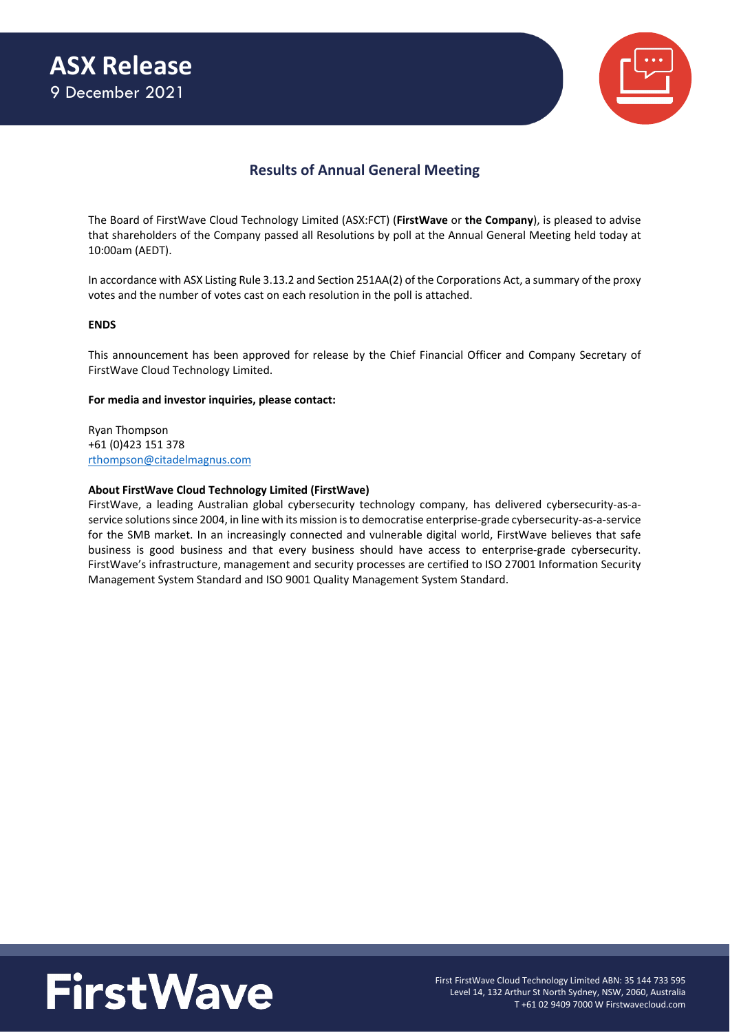

## **Results of Annual General Meeting**

The Board of FirstWave Cloud Technology Limited (ASX:FCT) (**FirstWave** or **the Company**), is pleased to advise that shareholders of the Company passed all Resolutions by poll at the Annual General Meeting held today at 10:00am (AEDT).

In accordance with ASX Listing Rule 3.13.2 and Section 251AA(2) of the Corporations Act, a summary of the proxy votes and the number of votes cast on each resolution in the poll is attached.

#### **ENDS**

This announcement has been approved for release by the Chief Financial Officer and Company Secretary of FirstWave Cloud Technology Limited.

#### **For media and investor inquiries, please contact:**

Ryan Thompson +61 (0)423 151 378 [rthompson@citadelmagnus.com](mailto:rthompson@citadelmagnus.com)

#### **About FirstWave Cloud Technology Limited (FirstWave)**

FirstWave, a leading Australian global cybersecurity technology company, has delivered cybersecurity-as-aservice solutions since 2004, in line with its mission is to democratise enterprise-grade cybersecurity-as-a-service for the SMB market. In an increasingly connected and vulnerable digital world, FirstWave believes that safe business is good business and that every business should have access to enterprise-grade cybersecurity. FirstWave's infrastructure, management and security processes are certified to ISO 27001 Information Security Management System Standard and ISO 9001 Quality Management System Standard.

# **FirstWave**